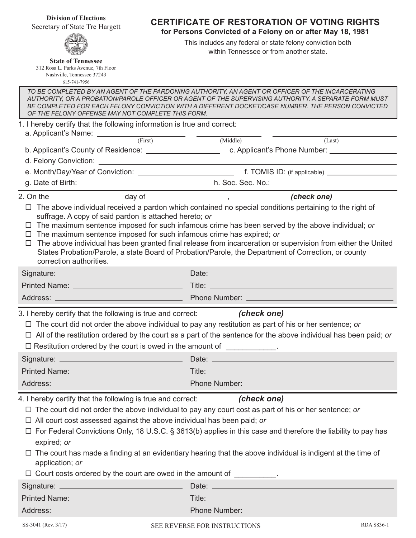**Division of Elections** Secretary of State Tre Hargett



**State of Tennessee** 312 Rosa L. Parks Avenue, 7th Floor Nashville, Tennessee 37243 615-741-7956

**CERTIFICATE OF RESTORATION OF VOTING RIGHTS**

**for Persons Convicted of a Felony on or after May 18, 1981** 

This includes any federal or state felony conviction both within Tennessee or from another state.

*TO BE COMPLETED BY AN AGENT OF THE PARDONING AUTHORITY, AN AGENT OR OFFICER OF THE INCARCERATING AUTHORITY, OR A PROBATION/PAROLE OFFICER OR AGENT OF THE SUPERVISING AUTHORITY. A SEPARATE FORM MUST*  BE COMPLETED FOR EACH FELONY CONVICTION WITH A DIFFERENT DOCKET/CASE NUMBER. THE PERSON CONVICTED *OF THE FELONY OFFENSE MAY NOT COMPLETE THIS FORM.* 1. I hereby certify that the following information is true and correct:

| a. Applicant's Name: $\frac{ }{ \text{(First)} }$                                                                                                                                                                                                                                                                                                                                                                                                                                                                                                                                                           | (Middle)<br>(Last)                                                                                                                                                                                                                                                                                                                                         |
|-------------------------------------------------------------------------------------------------------------------------------------------------------------------------------------------------------------------------------------------------------------------------------------------------------------------------------------------------------------------------------------------------------------------------------------------------------------------------------------------------------------------------------------------------------------------------------------------------------------|------------------------------------------------------------------------------------------------------------------------------------------------------------------------------------------------------------------------------------------------------------------------------------------------------------------------------------------------------------|
|                                                                                                                                                                                                                                                                                                                                                                                                                                                                                                                                                                                                             |                                                                                                                                                                                                                                                                                                                                                            |
|                                                                                                                                                                                                                                                                                                                                                                                                                                                                                                                                                                                                             |                                                                                                                                                                                                                                                                                                                                                            |
|                                                                                                                                                                                                                                                                                                                                                                                                                                                                                                                                                                                                             |                                                                                                                                                                                                                                                                                                                                                            |
|                                                                                                                                                                                                                                                                                                                                                                                                                                                                                                                                                                                                             | g. Date of Birth: h. Soc. Sec. No.: h. Soc. Sec. No.:                                                                                                                                                                                                                                                                                                      |
|                                                                                                                                                                                                                                                                                                                                                                                                                                                                                                                                                                                                             |                                                                                                                                                                                                                                                                                                                                                            |
| The above individual received a pardon which contained no special conditions pertaining to the right of<br>□<br>suffrage. A copy of said pardon is attached hereto; or<br>The maximum sentence imposed for such infamous crime has been served by the above individual; or<br>ப<br>The maximum sentence imposed for such infamous crime has expired; or<br>□ The above individual has been granted final release from incarceration or supervision from either the United<br>States Probation/Parole, a state Board of Probation/Parole, the Department of Correction, or county<br>correction authorities. |                                                                                                                                                                                                                                                                                                                                                            |
|                                                                                                                                                                                                                                                                                                                                                                                                                                                                                                                                                                                                             |                                                                                                                                                                                                                                                                                                                                                            |
|                                                                                                                                                                                                                                                                                                                                                                                                                                                                                                                                                                                                             |                                                                                                                                                                                                                                                                                                                                                            |
|                                                                                                                                                                                                                                                                                                                                                                                                                                                                                                                                                                                                             |                                                                                                                                                                                                                                                                                                                                                            |
| $\Box$ All of the restitution ordered by the court as a part of the sentence for the above individual has been paid; or                                                                                                                                                                                                                                                                                                                                                                                                                                                                                     | $\Box$ The court did not order the above individual to pay any restitution as part of his or her sentence; or                                                                                                                                                                                                                                              |
| $\Box$ Restitution ordered by the court is owed in the amount of $\Box$                                                                                                                                                                                                                                                                                                                                                                                                                                                                                                                                     |                                                                                                                                                                                                                                                                                                                                                            |
|                                                                                                                                                                                                                                                                                                                                                                                                                                                                                                                                                                                                             | Address: <u>New York: Address:</u> Phone Number: 2008                                                                                                                                                                                                                                                                                                      |
| 4. I hereby certify that the following is true and correct: (check one)<br>$\Box$ All court cost assessed against the above individual has been paid; or<br>expired; or<br>application; or<br>$\Box$ Court costs ordered by the court are owed in the amount of $\Box$                                                                                                                                                                                                                                                                                                                                      | $\Box$ The court did not order the above individual to pay any court cost as part of his or her sentence; or<br>$\Box$ For Federal Convictions Only, 18 U.S.C. § 3613(b) applies in this case and therefore the liability to pay has<br>$\Box$ The court has made a finding at an evidentiary hearing that the above individual is indigent at the time of |
|                                                                                                                                                                                                                                                                                                                                                                                                                                                                                                                                                                                                             |                                                                                                                                                                                                                                                                                                                                                            |